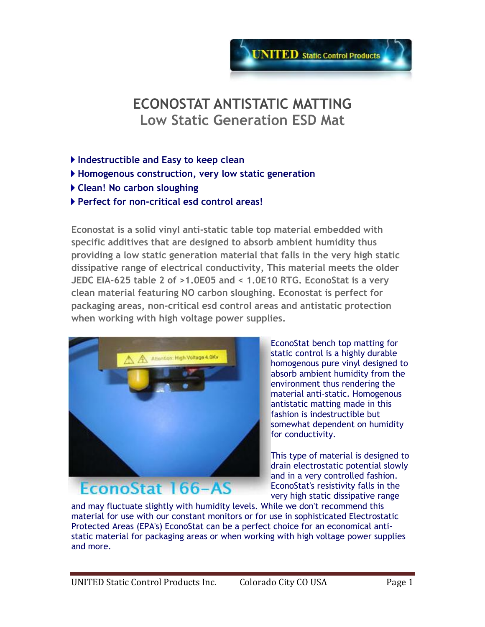

# **ECONOSTAT ANTISTATIC MATTING Low Static Generation ESD Mat**

- **Indestructible and Easy to keep clean**
- **Homogenous construction, very low static generation**
- **Clean! No carbon sloughing**
- **Perfect for non-critical esd control areas!**

**Econostat is a solid vinyl anti-static table top material embedded with specific additives that are designed to absorb ambient humidity thus providing a low static generation material that falls in the very high static dissipative range of electrical conductivity, This material meets the older JEDC EIA-625 table 2 of >1.0E05 and < 1.0E10 RTG. EconoStat is a very clean material featuring NO carbon sloughing. Econostat is perfect for packaging areas, non-critical esd control areas and antistatic protection when working with high voltage power supplies.**



EconoStat bench top matting for static control is a highly durable homogenous pure vinyl designed to absorb ambient humidity from the environment thus rendering the material anti-static. Homogenous antistatic matting made in this fashion is indestructible but somewhat dependent on humidity for conductivity.

This type of material is designed to drain electrostatic potential slowly and in a very controlled fashion. EconoStat's resistivity falls in the very high static dissipative range

and may fluctuate slightly with humidity levels. While we don't recommend this material for use with our constant monitors or for use in sophisticated Electrostatic Protected Areas (EPA's) EconoStat can be a perfect choice for an economical antistatic material for packaging areas or when working with high voltage power supplies and more.